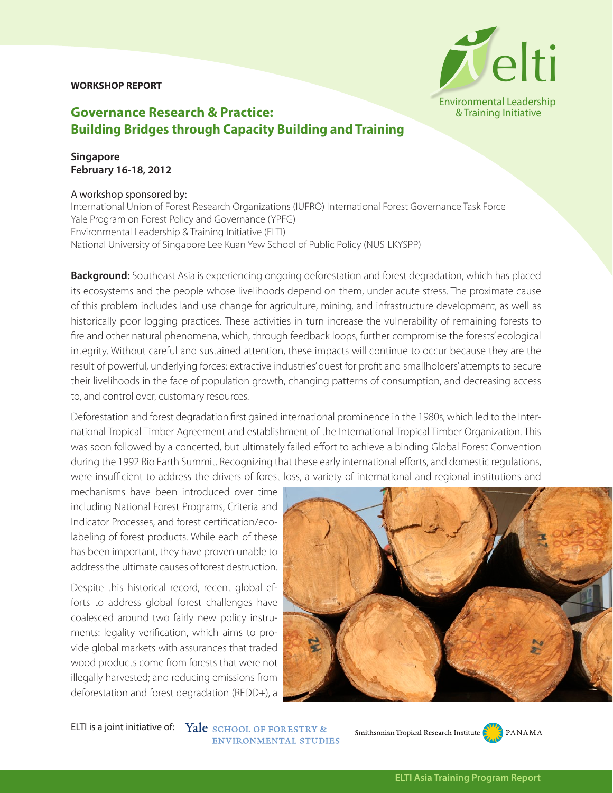## **WORKSHOP REPORT**



## **Governance Research & Practice: Building Bridges through Capacity Building and Training**

**Singapore February 16-18, 2012**

## A workshop sponsored by:

International Union of Forest Research Organizations (IUFRO) International Forest Governance Task Force Yale Program on Forest Policy and Governance (YPFG) Environmental Leadership & Training Initiative (ELTI) National University of Singapore Lee Kuan Yew School of Public Policy (NUS-LKYSPP)

**Background:** Southeast Asia is experiencing ongoing deforestation and forest degradation, which has placed its ecosystems and the people whose livelihoods depend on them, under acute stress. The proximate cause of this problem includes land use change for agriculture, mining, and infrastructure development, as well as historically poor logging practices. These activities in turn increase the vulnerability of remaining forests to fire and other natural phenomena, which, through feedback loops, further compromise the forests' ecological integrity. Without careful and sustained attention, these impacts will continue to occur because they are the result of powerful, underlying forces: extractive industries' quest for profit and smallholders' attempts to secure their livelihoods in the face of population growth, changing patterns of consumption, and decreasing access to, and control over, customary resources.

Deforestation and forest degradation first gained international prominence in the 1980s, which led to the International Tropical Timber Agreement and establishment of the International Tropical Timber Organization. This was soon followed by a concerted, but ultimately failed effort to achieve a binding Global Forest Convention during the 1992 Rio Earth Summit. Recognizing that these early international efforts, and domestic regulations, were insufficient to address the drivers of forest loss, a variety of international and regional institutions and

mechanisms have been introduced over time including National Forest Programs, Criteria and Indicator Processes, and forest certification/ecolabeling of forest products. While each of these has been important, they have proven unable to address the ultimate causes of forest destruction.

Despite this historical record, recent global efforts to address global forest challenges have coalesced around two fairly new policy instruments: legality verification, which aims to provide global markets with assurances that traded wood products come from forests that were not illegally harvested; and reducing emissions from deforestation and forest degradation (REDD+), a



ELTI is a joint initiative of: Yale SCHOOL OF FORESTRY & **ENVIRONMENTAL STUDIES** 

Smithsonian Tropical Research Institute PANAMA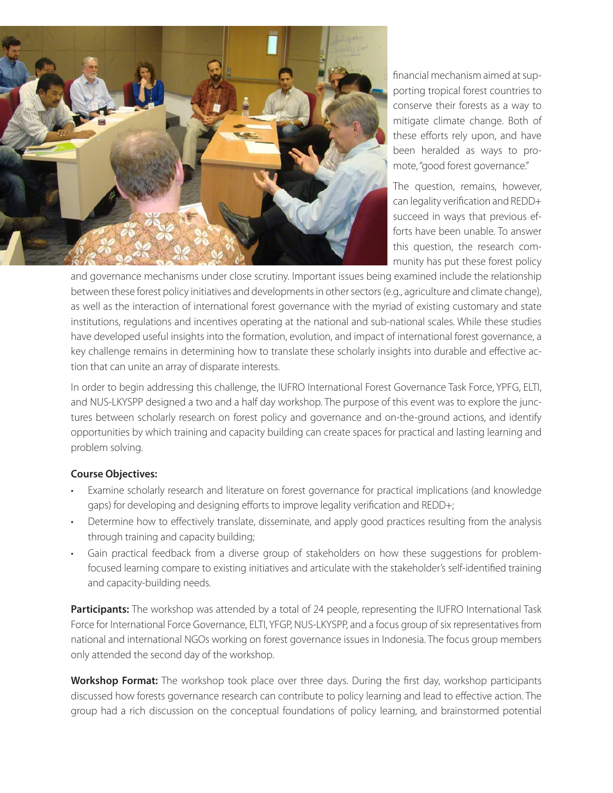

financial mechanism aimed at supporting tropical forest countries to conserve their forests as a way to mitigate climate change. Both of these efforts rely upon, and have been heralded as ways to promote, "good forest governance."

The question, remains, however, can legality verification and REDD+ succeed in ways that previous efforts have been unable. To answer this question, the research community has put these forest policy

and governance mechanisms under close scrutiny. Important issues being examined include the relationship between these forest policy initiatives and developments in other sectors (e.g., agriculture and climate change), as well as the interaction of international forest governance with the myriad of existing customary and state institutions, regulations and incentives operating at the national and sub-national scales. While these studies have developed useful insights into the formation, evolution, and impact of international forest governance, a key challenge remains in determining how to translate these scholarly insights into durable and effective action that can unite an array of disparate interests.

In order to begin addressing this challenge, the IUFRO International Forest Governance Task Force, YPFG, ELTI, and NUS-LKYSPP designed a two and a half day workshop. The purpose of this event was to explore the junctures between scholarly research on forest policy and governance and on-the-ground actions, and identify opportunities by which training and capacity building can create spaces for practical and lasting learning and problem solving.

## **Course Objectives:**

- Examine scholarly research and literature on forest governance for practical implications (and knowledge gaps) for developing and designing efforts to improve legality verification and REDD+;
- Determine how to effectively translate, disseminate, and apply good practices resulting from the analysis through training and capacity building;
- Gain practical feedback from a diverse group of stakeholders on how these suggestions for problemfocused learning compare to existing initiatives and articulate with the stakeholder's self-identified training and capacity-building needs.

**Participants:** The workshop was attended by a total of 24 people, representing the IUFRO International Task Force for International Force Governance, ELTI, YFGP, NUS-LKYSPP, and a focus group of six representatives from national and international NGOs working on forest governance issues in Indonesia. The focus group members only attended the second day of the workshop.

**Workshop Format:** The workshop took place over three days. During the first day, workshop participants discussed how forests governance research can contribute to policy learning and lead to effective action. The group had a rich discussion on the conceptual foundations of policy learning, and brainstormed potential